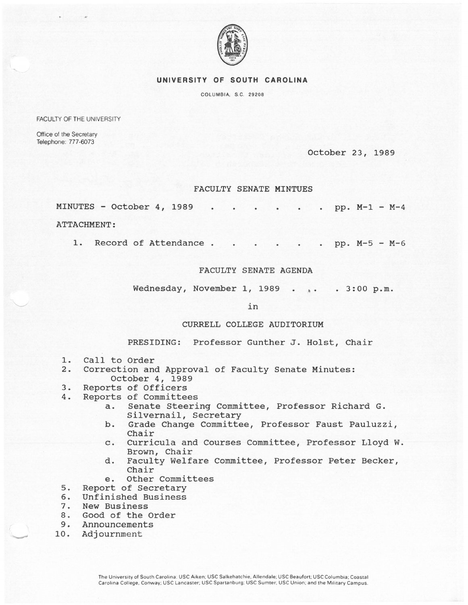

## UNIVERSITY OF SOUTH CAROLINA

COLUMBIA, S.C. 29208

FACULTY OF THE UNIVERSITY

Office of the Secretary Telephone: 777-6073

October 23, 1989

## FACULTY SENATE MINTUES

| MINUTES - October 4, 1989 pp. $M-1 - M-4$ |  |  |  |  |  |  |  |
|-------------------------------------------|--|--|--|--|--|--|--|
| ATTACHMENT:                               |  |  |  |  |  |  |  |

1. Record of Attendance . . . . . . pp. M-5 - M-6

## FACULTY SENATE AGENDA

Wednesday, November 1, 1989 . . . 3:00 p.m.

in

## CURRELL COLLEGE AUDITORIUM

PRESIDING: Professor Gunther J. Holst, Chair

- 1. Call to Order<br>2. Correction and
- 2. Correction and Approval of Faculty Senate Minutes: October 4, 1989
- 3. Reports of Officers
- 4. Reports of Committees
	- a. Senate Steering Committee, Professor Richard G. Silvernail, Secretary
	- b. Grade Change Committee, Professor Faust Pauluzzi, Chair
	- c. Curricula and Courses Committee, Professor Lloyd W. Brown, Chair
	- d. Faculty Welfare Committee, Professor Peter Becker, Chair
	- e. Other Committees
- 5. Report of Secretary<br>6. Unfinished Business
- 6. Unfinished Business<br>7. New Business
- 7. New Business<br>8. Good of the 0
- 8. Good of the Order<br>9. Announcements
- Announcements
- 10. Adjournment

-